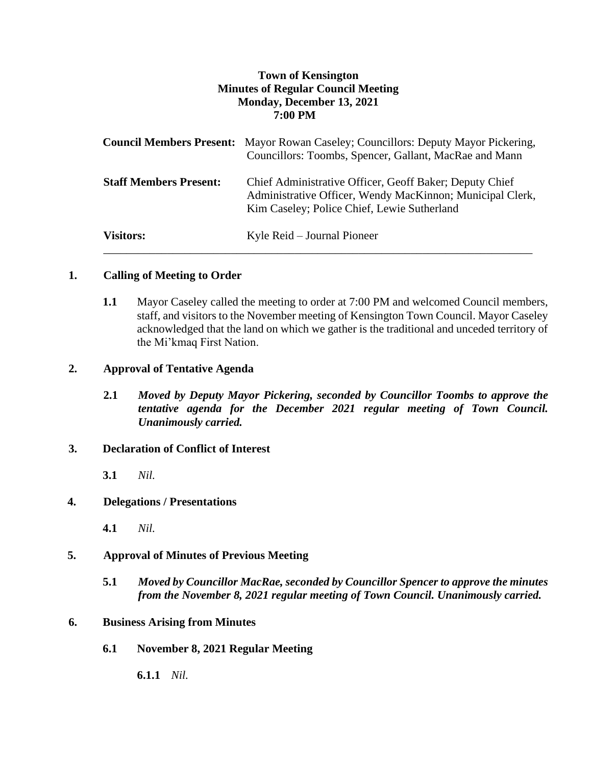# **Town of Kensington Minutes of Regular Council Meeting Monday, December 13, 2021 7:00 PM**

|                               | <b>Council Members Present:</b> Mayor Rowan Caseley; Councillors: Deputy Mayor Pickering,<br>Councillors: Toombs, Spencer, Gallant, MacRae and Mann                 |
|-------------------------------|---------------------------------------------------------------------------------------------------------------------------------------------------------------------|
| <b>Staff Members Present:</b> | Chief Administrative Officer, Geoff Baker; Deputy Chief<br>Administrative Officer, Wendy MacKinnon; Municipal Clerk,<br>Kim Caseley; Police Chief, Lewie Sutherland |
| <b>Visitors:</b>              | Kyle Reid – Journal Pioneer                                                                                                                                         |

## **1. Calling of Meeting to Order**

**1.1** Mayor Caseley called the meeting to order at 7:00 PM and welcomed Council members, staff, and visitors to the November meeting of Kensington Town Council. Mayor Caseley acknowledged that the land on which we gather is the traditional and unceded territory of the Mi'kmaq First Nation.

## **2. Approval of Tentative Agenda**

**2.1** *Moved by Deputy Mayor Pickering, seconded by Councillor Toombs to approve the tentative agenda for the December 2021 regular meeting of Town Council. Unanimously carried.*

### **3. Declaration of Conflict of Interest**

**3.1** *Nil.*

# **4. Delegations / Presentations**

**4.1** *Nil.*

### **5. Approval of Minutes of Previous Meeting**

**5.1** *Moved by Councillor MacRae, seconded by Councillor Spencer to approve the minutes from the November 8, 2021 regular meeting of Town Council. Unanimously carried.*

## **6. Business Arising from Minutes**

**6.1 November 8, 2021 Regular Meeting** 

**6.1.1** *Nil.*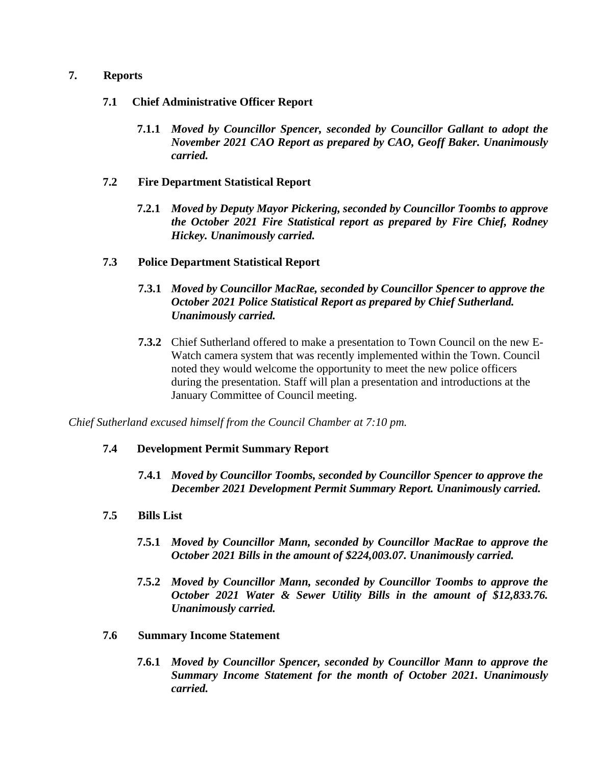### **7. Reports**

## **7.1 Chief Administrative Officer Report**

**7.1.1** *Moved by Councillor Spencer, seconded by Councillor Gallant to adopt the November 2021 CAO Report as prepared by CAO, Geoff Baker. Unanimously carried.*

## **7.2 Fire Department Statistical Report**

**7.2.1** *Moved by Deputy Mayor Pickering, seconded by Councillor Toombs to approve the October 2021 Fire Statistical report as prepared by Fire Chief, Rodney Hickey. Unanimously carried.*

## **7.3 Police Department Statistical Report**

- **7.3.1** *Moved by Councillor MacRae, seconded by Councillor Spencer to approve the October 2021 Police Statistical Report as prepared by Chief Sutherland. Unanimously carried.*
- **7.3.2** Chief Sutherland offered to make a presentation to Town Council on the new E-Watch camera system that was recently implemented within the Town. Council noted they would welcome the opportunity to meet the new police officers during the presentation. Staff will plan a presentation and introductions at the January Committee of Council meeting.

*Chief Sutherland excused himself from the Council Chamber at 7:10 pm.*

# **7.4 Development Permit Summary Report**

- **7.4.1** *Moved by Councillor Toombs, seconded by Councillor Spencer to approve the December 2021 Development Permit Summary Report. Unanimously carried.*
- **7.5 Bills List** 
	- **7.5.1** *Moved by Councillor Mann, seconded by Councillor MacRae to approve the October 2021 Bills in the amount of \$224,003.07. Unanimously carried.*
	- **7.5.2** *Moved by Councillor Mann, seconded by Councillor Toombs to approve the October 2021 Water & Sewer Utility Bills in the amount of \$12,833.76. Unanimously carried.*

### **7.6 Summary Income Statement**

**7.6.1** *Moved by Councillor Spencer, seconded by Councillor Mann to approve the Summary Income Statement for the month of October 2021. Unanimously carried.*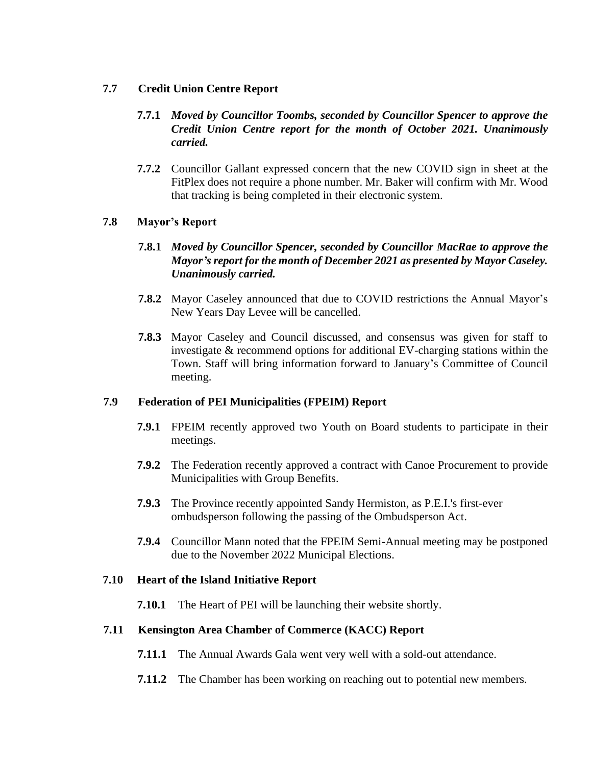## **7.7 Credit Union Centre Report**

- **7.7.1** *Moved by Councillor Toombs, seconded by Councillor Spencer to approve the Credit Union Centre report for the month of October 2021. Unanimously carried.*
- **7.7.2** Councillor Gallant expressed concern that the new COVID sign in sheet at the FitPlex does not require a phone number. Mr. Baker will confirm with Mr. Wood that tracking is being completed in their electronic system.

## **7.8 Mayor's Report**

# **7.8.1** *Moved by Councillor Spencer, seconded by Councillor MacRae to approve the Mayor's report for the month of December 2021 as presented by Mayor Caseley. Unanimously carried.*

- **7.8.2** Mayor Caseley announced that due to COVID restrictions the Annual Mayor's New Years Day Levee will be cancelled.
- **7.8.3** Mayor Caseley and Council discussed, and consensus was given for staff to investigate & recommend options for additional EV-charging stations within the Town. Staff will bring information forward to January's Committee of Council meeting.

### **7.9 Federation of PEI Municipalities (FPEIM) Report**

- **7.9.1** FPEIM recently approved two Youth on Board students to participate in their meetings.
- **7.9.2** The Federation recently approved a contract with Canoe Procurement to provide Municipalities with Group Benefits.
- **7.9.3** The Province recently appointed Sandy Hermiston, as P.E.I.'s first-ever ombudsperson following the passing of the Ombudsperson Act.
- **7.9.4** Councillor Mann noted that the FPEIM Semi-Annual meeting may be postponed due to the November 2022 Municipal Elections.

### **7.10 Heart of the Island Initiative Report**

**7.10.1** The Heart of PEI will be launching their website shortly.

### **7.11 Kensington Area Chamber of Commerce (KACC) Report**

- **7.11.1** The Annual Awards Gala went very well with a sold-out attendance.
- **7.11.2** The Chamber has been working on reaching out to potential new members.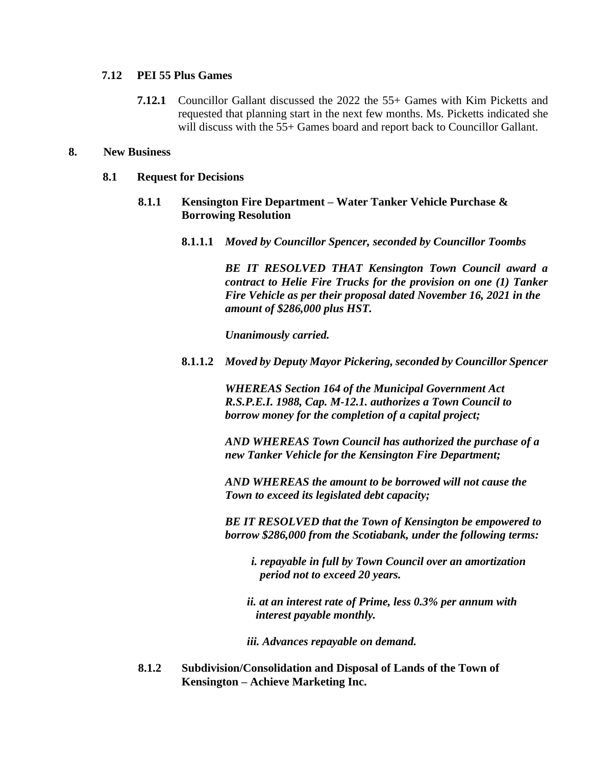## **7.12 PEI 55 Plus Games**

**7.12.1** Councillor Gallant discussed the 2022 the 55+ Games with Kim Picketts and requested that planning start in the next few months. Ms. Picketts indicated she will discuss with the 55+ Games board and report back to Councillor Gallant.

### **8. New Business**

#### **8.1 Request for Decisions**

- **8.1.1 Kensington Fire Department – Water Tanker Vehicle Purchase & Borrowing Resolution**
	- **8.1.1.1** *Moved by Councillor Spencer, seconded by Councillor Toombs*

*BE IT RESOLVED THAT Kensington Town Council award a contract to Helie Fire Trucks for the provision on one (1) Tanker Fire Vehicle as per their proposal dated November 16, 2021 in the amount of \$286,000 plus HST.*

*Unanimously carried.* 

**8.1.1.2** *Moved by Deputy Mayor Pickering, seconded by Councillor Spencer*

*WHEREAS Section 164 of the Municipal Government Act R.S.P.E.I. 1988, Cap. M-12.1. authorizes a Town Council to borrow money for the completion of a capital project;*

*AND WHEREAS Town Council has authorized the purchase of a new Tanker Vehicle for the Kensington Fire Department;*

*AND WHEREAS the amount to be borrowed will not cause the Town to exceed its legislated debt capacity;*

*BE IT RESOLVED that the Town of Kensington be empowered to borrow \$286,000 from the Scotiabank, under the following terms:*

*i. repayable in full by Town Council over an amortization period not to exceed 20 years.*

*ii. at an interest rate of Prime, less 0.3% per annum with interest payable monthly.*

*iii. Advances repayable on demand.*

**8.1.2 Subdivision/Consolidation and Disposal of Lands of the Town of Kensington – Achieve Marketing Inc.**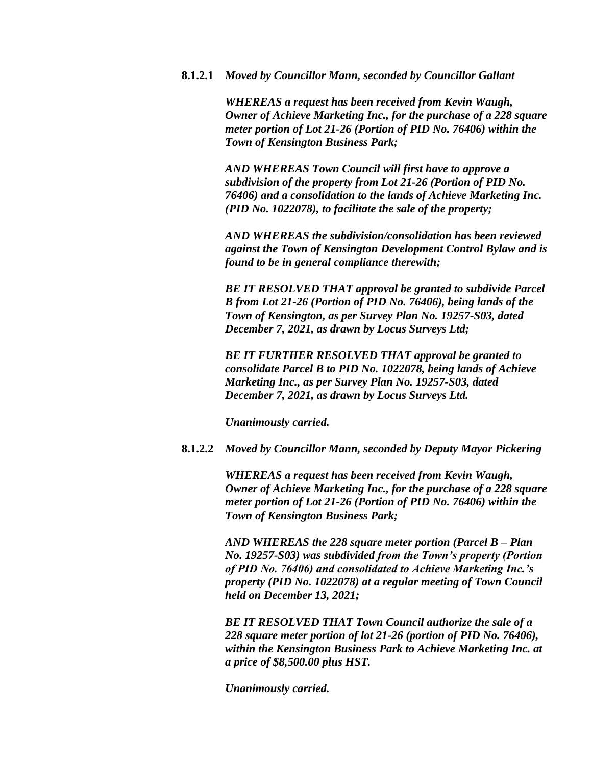#### **8.1.2.1** *Moved by Councillor Mann, seconded by Councillor Gallant*

*WHEREAS a request has been received from Kevin Waugh, Owner of Achieve Marketing Inc., for the purchase of a 228 square meter portion of Lot 21-26 (Portion of PID No. 76406) within the Town of Kensington Business Park;*

*AND WHEREAS Town Council will first have to approve a subdivision of the property from Lot 21-26 (Portion of PID No. 76406) and a consolidation to the lands of Achieve Marketing Inc. (PID No. 1022078), to facilitate the sale of the property;*

*AND WHEREAS the subdivision/consolidation has been reviewed against the Town of Kensington Development Control Bylaw and is found to be in general compliance therewith;*

*BE IT RESOLVED THAT approval be granted to subdivide Parcel B from Lot 21-26 (Portion of PID No. 76406), being lands of the Town of Kensington, as per Survey Plan No. 19257-S03, dated December 7, 2021, as drawn by Locus Surveys Ltd;*

*BE IT FURTHER RESOLVED THAT approval be granted to consolidate Parcel B to PID No. 1022078, being lands of Achieve Marketing Inc., as per Survey Plan No. 19257-S03, dated December 7, 2021, as drawn by Locus Surveys Ltd.*

*Unanimously carried.*

**8.1.2.2** *Moved by Councillor Mann, seconded by Deputy Mayor Pickering*

*WHEREAS a request has been received from Kevin Waugh, Owner of Achieve Marketing Inc., for the purchase of a 228 square meter portion of Lot 21-26 (Portion of PID No. 76406) within the Town of Kensington Business Park;*

*AND WHEREAS the 228 square meter portion (Parcel B – Plan No. 19257-S03) was subdivided from the Town's property (Portion of PID No. 76406) and consolidated to Achieve Marketing Inc.'s property (PID No. 1022078) at a regular meeting of Town Council held on December 13, 2021;*

*BE IT RESOLVED THAT Town Council authorize the sale of a 228 square meter portion of lot 21-26 (portion of PID No. 76406), within the Kensington Business Park to Achieve Marketing Inc. at a price of \$8,500.00 plus HST.*

*Unanimously carried.*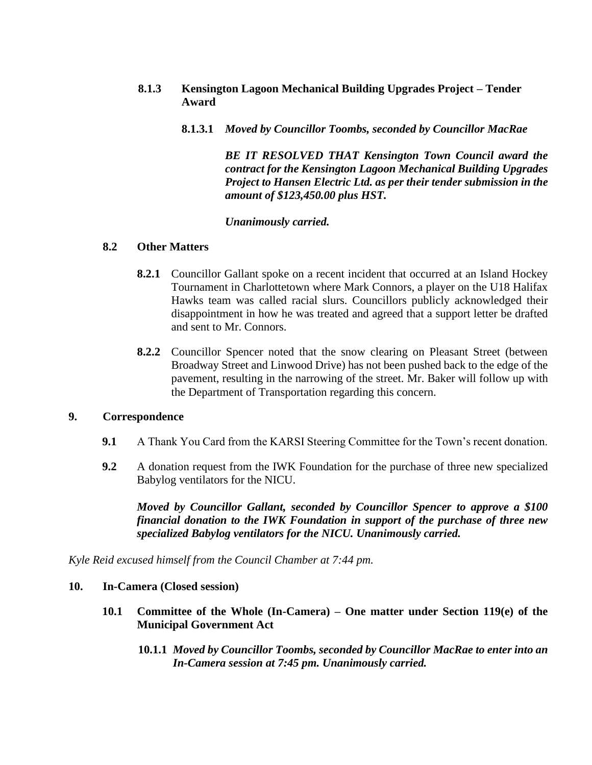- **8.1.3 Kensington Lagoon Mechanical Building Upgrades Project – Tender Award**
	- **8.1.3.1** *Moved by Councillor Toombs, seconded by Councillor MacRae*

*BE IT RESOLVED THAT Kensington Town Council award the contract for the Kensington Lagoon Mechanical Building Upgrades Project to Hansen Electric Ltd. as per their tender submission in the amount of \$123,450.00 plus HST.*

#### *Unanimously carried.*

#### **8.2 Other Matters**

- **8.2.1** Councillor Gallant spoke on a recent incident that occurred at an Island Hockey Tournament in Charlottetown where Mark Connors, a player on the U18 Halifax Hawks team was called racial slurs. Councillors publicly acknowledged their disappointment in how he was treated and agreed that a support letter be drafted and sent to Mr. Connors.
- **8.2.2** Councillor Spencer noted that the snow clearing on Pleasant Street (between Broadway Street and Linwood Drive) has not been pushed back to the edge of the pavement, resulting in the narrowing of the street. Mr. Baker will follow up with the Department of Transportation regarding this concern.

#### **9. Correspondence**

- **9.1** A Thank You Card from the KARSI Steering Committee for the Town's recent donation.
- **9.2** A donation request from the IWK Foundation for the purchase of three new specialized Babylog ventilators for the NICU.

*Moved by Councillor Gallant, seconded by Councillor Spencer to approve a \$100 financial donation to the IWK Foundation in support of the purchase of three new specialized Babylog ventilators for the NICU. Unanimously carried.*

*Kyle Reid excused himself from the Council Chamber at 7:44 pm.*

#### **10. In-Camera (Closed session)**

- **10.1 Committee of the Whole (In-Camera) – One matter under Section 119(e) of the Municipal Government Act**
	- **10.1.1** *Moved by Councillor Toombs, seconded by Councillor MacRae to enter into an In-Camera session at 7:45 pm. Unanimously carried.*